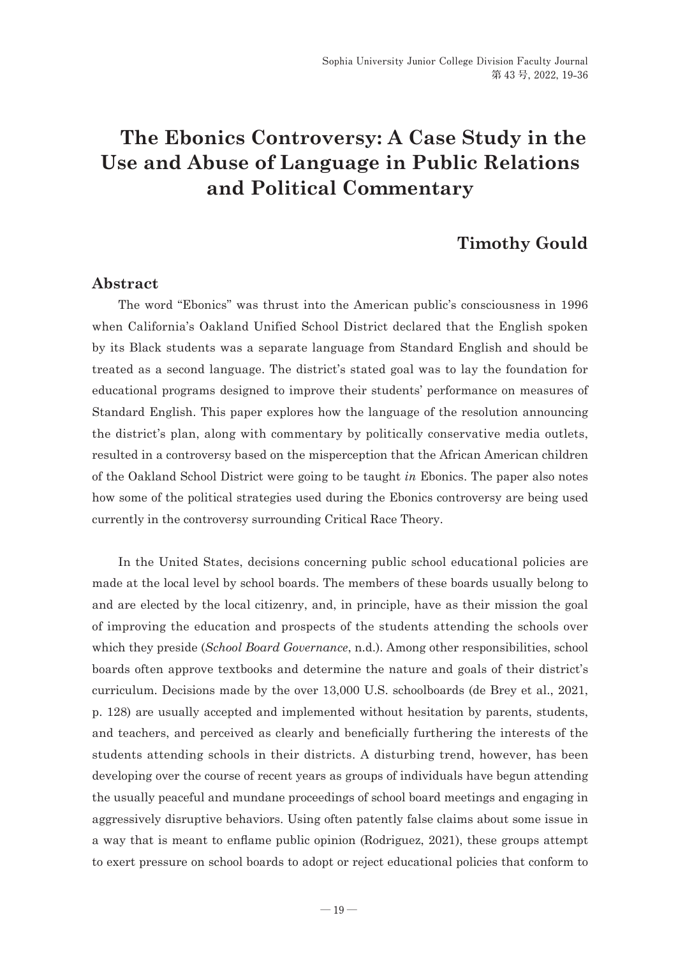# **The Ebonics Controversy: A Case Study in the Use and Abuse of Language in Public Relations and Political Commentary**

# **Timothy Gould**

#### **Abstract**

The word "Ebonics" was thrust into the American public's consciousness in 1996 when California's Oakland Unified School District declared that the English spoken by its Black students was a separate language from Standard English and should be treated as a second language. The district's stated goal was to lay the foundation for educational programs designed to improve their students' performance on measures of Standard English. This paper explores how the language of the resolution announcing the district's plan, along with commentary by politically conservative media outlets, resulted in a controversy based on the misperception that the African American children of the Oakland School District were going to be taught *in* Ebonics. The paper also notes how some of the political strategies used during the Ebonics controversy are being used currently in the controversy surrounding Critical Race Theory.

In the United States, decisions concerning public school educational policies are made at the local level by school boards. The members of these boards usually belong to and are elected by the local citizenry, and, in principle, have as their mission the goal of improving the education and prospects of the students attending the schools over which they preside (*School Board Governance*, n.d.). Among other responsibilities, school boards often approve textbooks and determine the nature and goals of their district's curriculum. Decisions made by the over 13,000 U.S. schoolboards (de Brey et al., 2021, p. 128) are usually accepted and implemented without hesitation by parents, students, and teachers, and perceived as clearly and beneficially furthering the interests of the students attending schools in their districts. A disturbing trend, however, has been developing over the course of recent years as groups of individuals have begun attending the usually peaceful and mundane proceedings of school board meetings and engaging in aggressively disruptive behaviors. Using often patently false claims about some issue in a way that is meant to enflame public opinion (Rodriguez, 2021), these groups attempt to exert pressure on school boards to adopt or reject educational policies that conform to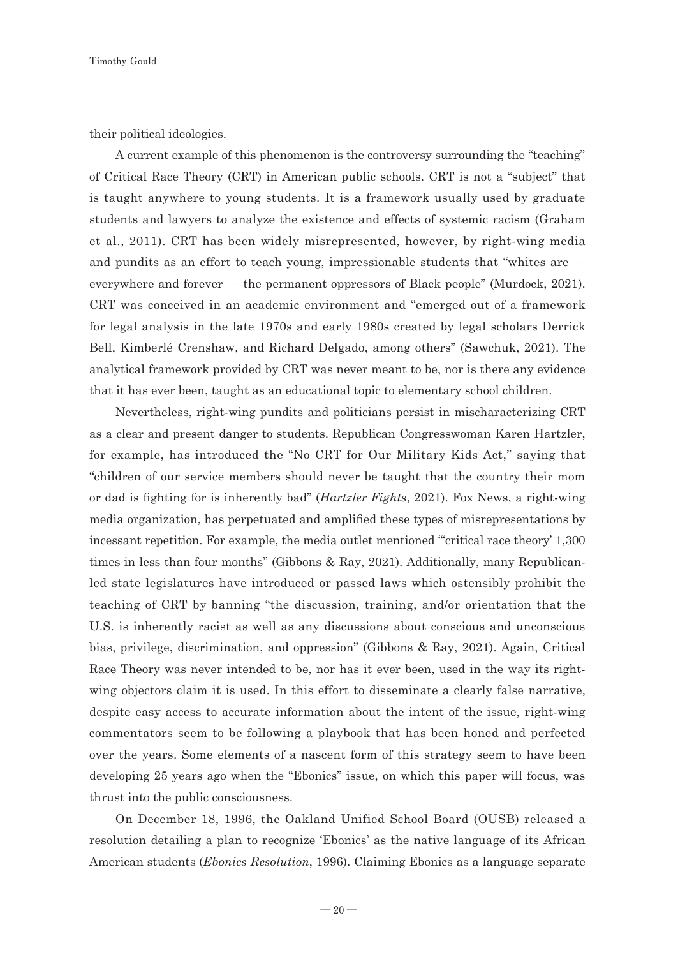their political ideologies.

A current example of this phenomenon is the controversy surrounding the "teaching" of Critical Race Theory (CRT) in American public schools. CRT is not a "subject" that is taught anywhere to young students. It is a framework usually used by graduate students and lawyers to analyze the existence and effects of systemic racism (Graham et al., 2011). CRT has been widely misrepresented, however, by right-wing media and pundits as an effort to teach young, impressionable students that "whites are everywhere and forever — the permanent oppressors of Black people" (Murdock, 2021). CRT was conceived in an academic environment and "emerged out of a framework for legal analysis in the late 1970s and early 1980s created by legal scholars Derrick Bell, Kimberlé Crenshaw, and Richard Delgado, among others" (Sawchuk, 2021). The analytical framework provided by CRT was never meant to be, nor is there any evidence that it has ever been, taught as an educational topic to elementary school children.

Nevertheless, right-wing pundits and politicians persist in mischaracterizing CRT as a clear and present danger to students. Republican Congresswoman Karen Hartzler, for example, has introduced the "No CRT for Our Military Kids Act," saying that "children of our service members should never be taught that the country their mom or dad is fighting for is inherently bad" (*Hartzler Fights*, 2021). Fox News, a right-wing media organization, has perpetuated and amplified these types of misrepresentations by incessant repetition. For example, the media outlet mentioned "'critical race theory' 1,300 times in less than four months" (Gibbons & Ray, 2021). Additionally, many Republicanled state legislatures have introduced or passed laws which ostensibly prohibit the teaching of CRT by banning "the discussion, training, and/or orientation that the U.S. is inherently racist as well as any discussions about conscious and unconscious bias, privilege, discrimination, and oppression" (Gibbons & Ray, 2021). Again, Critical Race Theory was never intended to be, nor has it ever been, used in the way its rightwing objectors claim it is used. In this effort to disseminate a clearly false narrative, despite easy access to accurate information about the intent of the issue, right-wing commentators seem to be following a playbook that has been honed and perfected over the years. Some elements of a nascent form of this strategy seem to have been developing 25 years ago when the "Ebonics" issue, on which this paper will focus, was thrust into the public consciousness.

On December 18, 1996, the Oakland Unified School Board (OUSB) released a resolution detailing a plan to recognize 'Ebonics' as the native language of its African American students (*Ebonics Resolution*, 1996). Claiming Ebonics as a language separate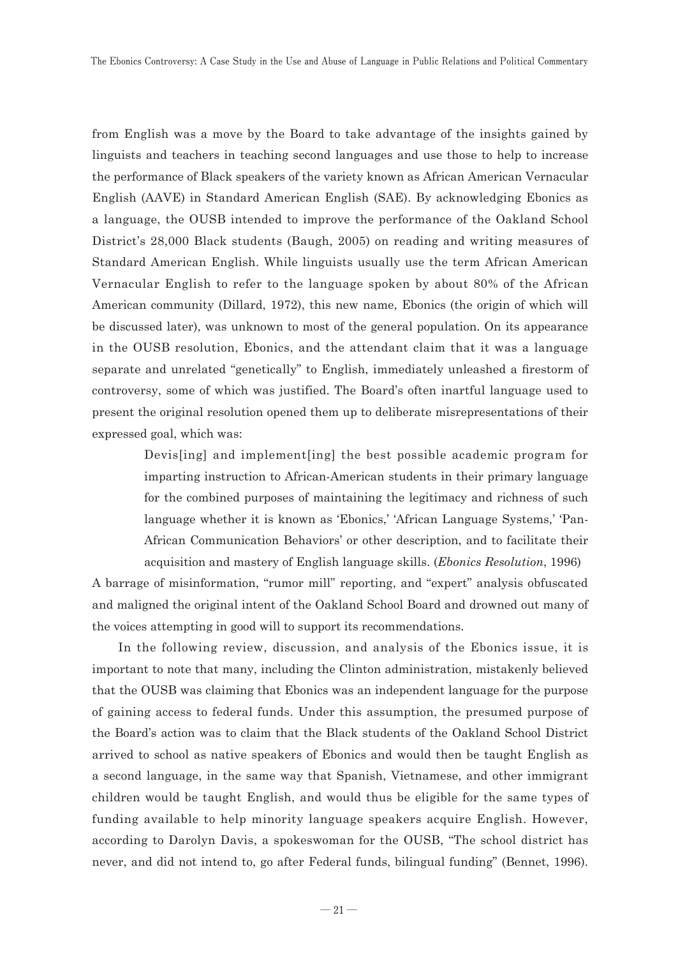from English was a move by the Board to take advantage of the insights gained by linguists and teachers in teaching second languages and use those to help to increase the performance of Black speakers of the variety known as African American Vernacular English (AAVE) in Standard American English (SAE). By acknowledging Ebonics as a language, the OUSB intended to improve the performance of the Oakland School District's 28,000 Black students (Baugh, 2005) on reading and writing measures of Standard American English. While linguists usually use the term African American Vernacular English to refer to the language spoken by about 80% of the African American community (Dillard, 1972), this new name, Ebonics (the origin of which will be discussed later), was unknown to most of the general population. On its appearance in the OUSB resolution, Ebonics, and the attendant claim that it was a language separate and unrelated "genetically" to English, immediately unleashed a firestorm of controversy, some of which was justified. The Board's often inartful language used to present the original resolution opened them up to deliberate misrepresentations of their expressed goal, which was:

> Devis[ing] and implement[ing] the best possible academic program for imparting instruction to African-American students in their primary language for the combined purposes of maintaining the legitimacy and richness of such language whether it is known as 'Ebonics,' 'African Language Systems,' 'Pan-African Communication Behaviors' or other description, and to facilitate their acquisition and mastery of English language skills. (*Ebonics Resolution*, 1996)

A barrage of misinformation, "rumor mill" reporting, and "expert" analysis obfuscated and maligned the original intent of the Oakland School Board and drowned out many of the voices attempting in good will to support its recommendations.

In the following review, discussion, and analysis of the Ebonics issue, it is important to note that many, including the Clinton administration, mistakenly believed that the OUSB was claiming that Ebonics was an independent language for the purpose of gaining access to federal funds. Under this assumption, the presumed purpose of the Board's action was to claim that the Black students of the Oakland School District arrived to school as native speakers of Ebonics and would then be taught English as a second language, in the same way that Spanish, Vietnamese, and other immigrant children would be taught English, and would thus be eligible for the same types of funding available to help minority language speakers acquire English. However, according to Darolyn Davis, a spokeswoman for the OUSB, "The school district has never, and did not intend to, go after Federal funds, bilingual funding" (Bennet, 1996).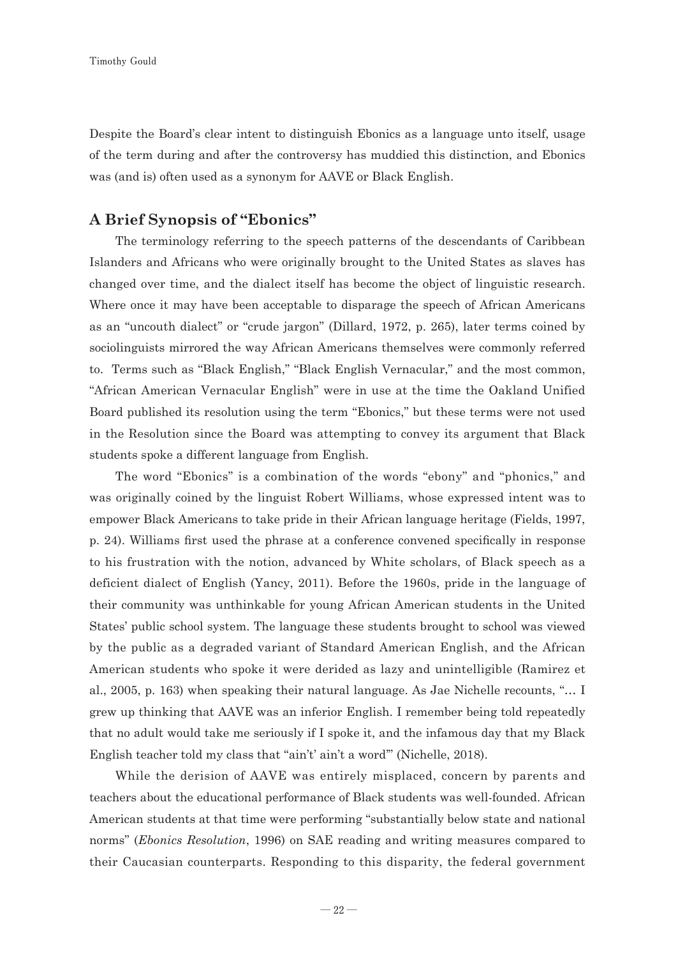**Timothy Gould**

Despite the Board's clear intent to distinguish Ebonics as a language unto itself, usage of the term during and after the controversy has muddied this distinction, and Ebonics was (and is) often used as a synonym for AAVE or Black English.

# **A Brief Synopsis of "Ebonics"**

The terminology referring to the speech patterns of the descendants of Caribbean Islanders and Africans who were originally brought to the United States as slaves has changed over time, and the dialect itself has become the object of linguistic research. Where once it may have been acceptable to disparage the speech of African Americans as an "uncouth dialect" or "crude jargon" (Dillard, 1972, p. 265), later terms coined by sociolinguists mirrored the way African Americans themselves were commonly referred to. Terms such as "Black English," "Black English Vernacular," and the most common, "African American Vernacular English" were in use at the time the Oakland Unified Board published its resolution using the term "Ebonics," but these terms were not used in the Resolution since the Board was attempting to convey its argument that Black students spoke a different language from English.

The word "Ebonics" is a combination of the words "ebony" and "phonics," and was originally coined by the linguist Robert Williams, whose expressed intent was to empower Black Americans to take pride in their African language heritage (Fields, 1997, p. 24). Williams first used the phrase at a conference convened specifically in response to his frustration with the notion, advanced by White scholars, of Black speech as a deficient dialect of English (Yancy, 2011). Before the 1960s, pride in the language of their community was unthinkable for young African American students in the United States' public school system. The language these students brought to school was viewed by the public as a degraded variant of Standard American English, and the African American students who spoke it were derided as lazy and unintelligible (Ramirez et al., 2005, p. 163) when speaking their natural language. As Jae Nichelle recounts, "… I grew up thinking that AAVE was an inferior English. I remember being told repeatedly that no adult would take me seriously if I spoke it, and the infamous day that my Black English teacher told my class that "ain't ain't a word" (Nichelle, 2018).

While the derision of AAVE was entirely misplaced, concern by parents and teachers about the educational performance of Black students was well-founded. African American students at that time were performing "substantially below state and national norms" (*Ebonics Resolution*, 1996) on SAE reading and writing measures compared to their Caucasian counterparts. Responding to this disparity, the federal government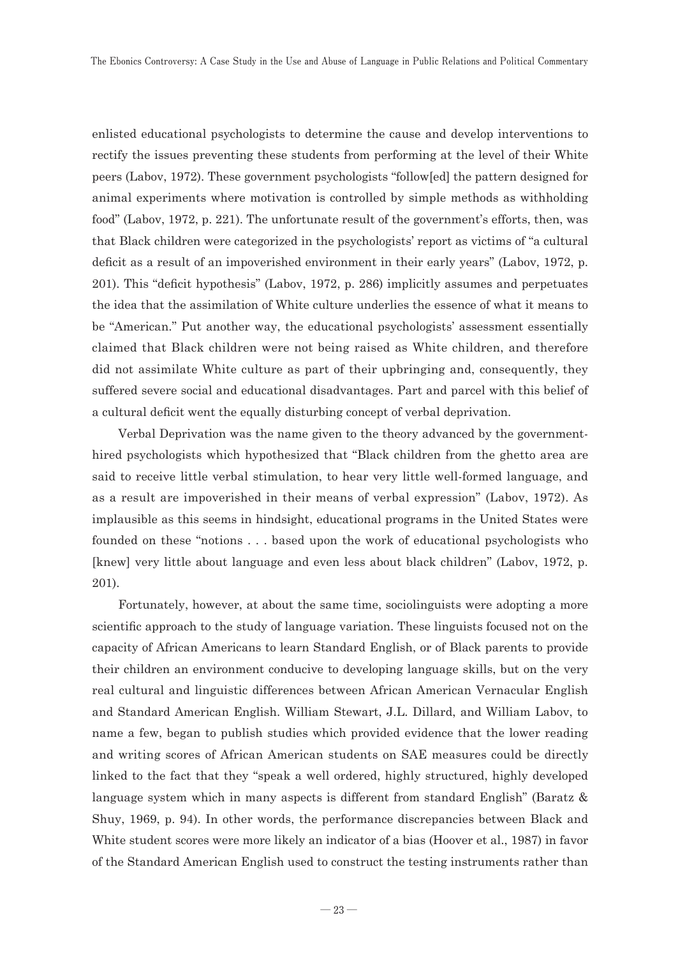enlisted educational psychologists to determine the cause and develop interventions to rectify the issues preventing these students from performing at the level of their White peers (Labov, 1972). These government psychologists "follow[ed] the pattern designed for animal experiments where motivation is controlled by simple methods as withholding food" (Labov, 1972, p. 221). The unfortunate result of the government's efforts, then, was that Black children were categorized in the psychologists' report as victims of "a cultural deficit as a result of an impoverished environment in their early years" (Labov, 1972, p. 201). This "deficit hypothesis" (Labov, 1972, p. 286) implicitly assumes and perpetuates the idea that the assimilation of White culture underlies the essence of what it means to be "American." Put another way, the educational psychologists' assessment essentially claimed that Black children were not being raised as White children, and therefore did not assimilate White culture as part of their upbringing and, consequently, they suffered severe social and educational disadvantages. Part and parcel with this belief of a cultural deficit went the equally disturbing concept of verbal deprivation.

Verbal Deprivation was the name given to the theory advanced by the governmenthired psychologists which hypothesized that "Black children from the ghetto area are said to receive little verbal stimulation, to hear very little well-formed language, and as a result are impoverished in their means of verbal expression" (Labov, 1972). As implausible as this seems in hindsight, educational programs in the United States were founded on these "notions . . . based upon the work of educational psychologists who [knew] very little about language and even less about black children" (Labov, 1972, p. 201).

Fortunately, however, at about the same time, sociolinguists were adopting a more scientific approach to the study of language variation. These linguists focused not on the capacity of African Americans to learn Standard English, or of Black parents to provide their children an environment conducive to developing language skills, but on the very real cultural and linguistic differences between African American Vernacular English and Standard American English. William Stewart, J.L. Dillard, and William Labov, to name a few, began to publish studies which provided evidence that the lower reading and writing scores of African American students on SAE measures could be directly linked to the fact that they "speak a well ordered, highly structured, highly developed language system which in many aspects is different from standard English" (Baratz & Shuy, 1969, p. 94). In other words, the performance discrepancies between Black and White student scores were more likely an indicator of a bias (Hoover et al., 1987) in favor of the Standard American English used to construct the testing instruments rather than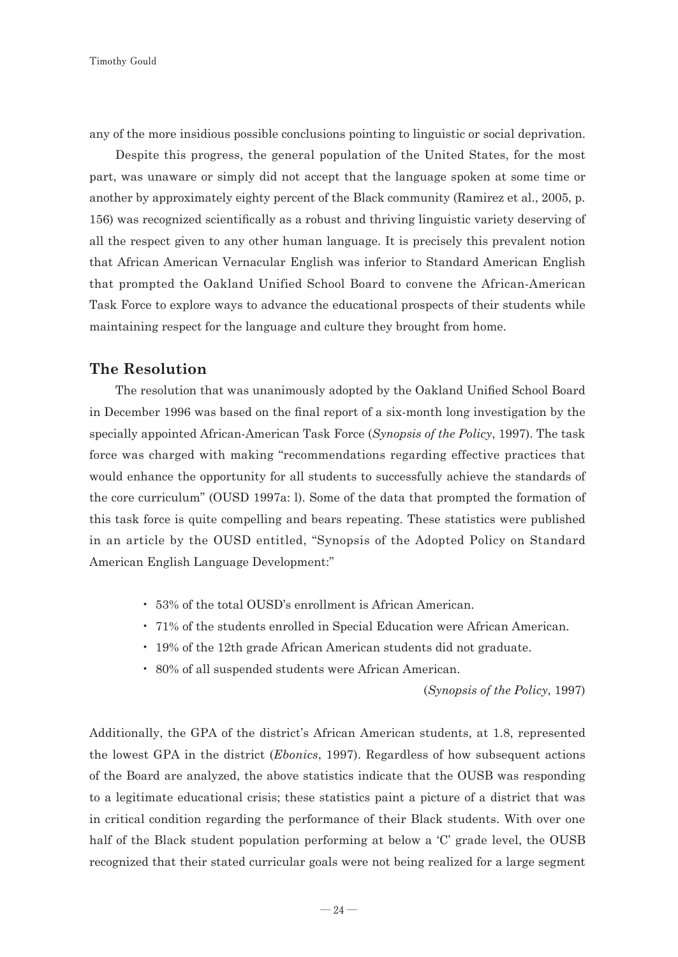any of the more insidious possible conclusions pointing to linguistic or social deprivation.

Despite this progress, the general population of the United States, for the most part, was unaware or simply did not accept that the language spoken at some time or another by approximately eighty percent of the Black community (Ramirez et al., 2005, p. 156) was recognized scientifically as a robust and thriving linguistic variety deserving of all the respect given to any other human language. It is precisely this prevalent notion that African American Vernacular English was inferior to Standard American English that prompted the Oakland Unified School Board to convene the African-American Task Force to explore ways to advance the educational prospects of their students while maintaining respect for the language and culture they brought from home.

## **The Resolution**

The resolution that was unanimously adopted by the Oakland Unified School Board in December 1996 was based on the final report of a six-month long investigation by the specially appointed African-American Task Force (*Synopsis of the Policy*, 1997). The task force was charged with making "recommendations regarding effective practices that would enhance the opportunity for all students to successfully achieve the standards of the core curriculum" (OUSD 1997a: l). Some of the data that prompted the formation of this task force is quite compelling and bears repeating. These statistics were published in an article by the OUSD entitled, "Synopsis of the Adopted Policy on Standard American English Language Development:"

- 53% of the total OUSD's enrollment is African American.
- 71% of the students enrolled in Special Education were African American.
- 19% of the 12th grade African American students did not graduate.
- 80% of all suspended students were African American.

(*Synopsis of the Policy*, 1997)

Additionally, the GPA of the district's African American students, at 1.8, represented the lowest GPA in the district (*Ebonics*, 1997). Regardless of how subsequent actions of the Board are analyzed, the above statistics indicate that the OUSB was responding to a legitimate educational crisis; these statistics paint a picture of a district that was in critical condition regarding the performance of their Black students. With over one half of the Black student population performing at below a 'C' grade level, the OUSB recognized that their stated curricular goals were not being realized for a large segment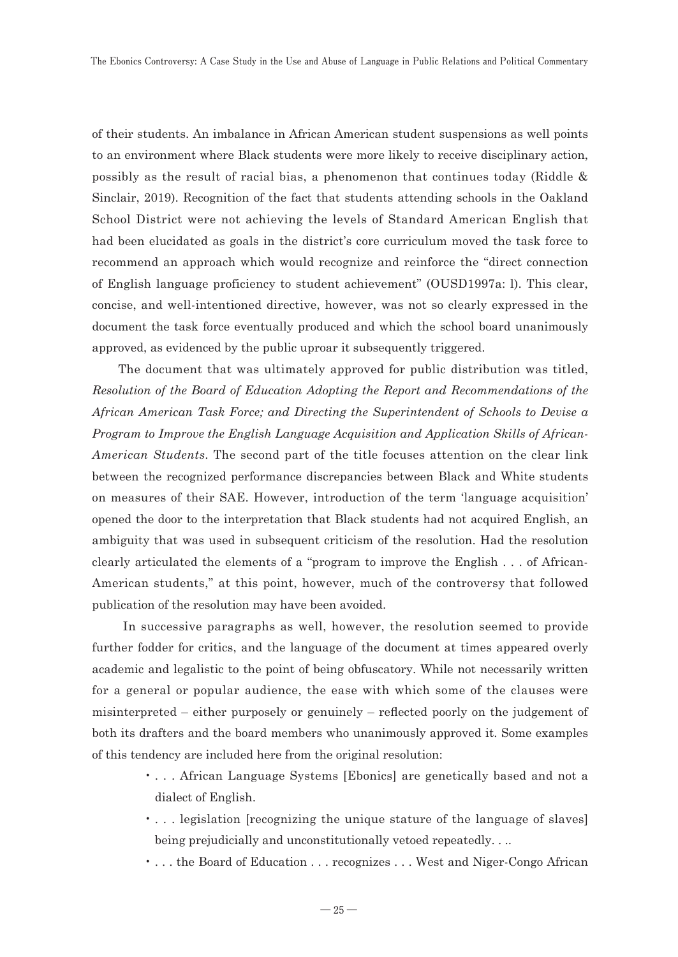of their students. An imbalance in African American student suspensions as well points to an environment where Black students were more likely to receive disciplinary action, possibly as the result of racial bias, a phenomenon that continues today (Riddle & Sinclair, 2019). Recognition of the fact that students attending schools in the Oakland School District were not achieving the levels of Standard American English that had been elucidated as goals in the district's core curriculum moved the task force to recommend an approach which would recognize and reinforce the "direct connection of English language proficiency to student achievement" (OUSD1997a: l). This clear, concise, and well-intentioned directive, however, was not so clearly expressed in the document the task force eventually produced and which the school board unanimously approved, as evidenced by the public uproar it subsequently triggered.

The document that was ultimately approved for public distribution was titled, *Resolution of the Board of Education Adopting the Report and Recommendations of the African American Task Force; and Directing the Superintendent of Schools to Devise a Program to Improve the English Language Acquisition and Application Skills of African-American Students*. The second part of the title focuses attention on the clear link between the recognized performance discrepancies between Black and White students on measures of their SAE. However, introduction of the term 'language acquisition' opened the door to the interpretation that Black students had not acquired English, an ambiguity that was used in subsequent criticism of the resolution. Had the resolution clearly articulated the elements of a "program to improve the English . . . of African-American students," at this point, however, much of the controversy that followed publication of the resolution may have been avoided.

 In successive paragraphs as well, however, the resolution seemed to provide further fodder for critics, and the language of the document at times appeared overly academic and legalistic to the point of being obfuscatory. While not necessarily written for a general or popular audience, the ease with which some of the clauses were misinterpreted – either purposely or genuinely – reflected poorly on the judgement of both its drafters and the board members who unanimously approved it. Some examples of this tendency are included here from the original resolution:

- . . . African Language Systems [Ebonics] are genetically based and not a dialect of English.
- . . . legislation [recognizing the unique stature of the language of slaves] being prejudicially and unconstitutionally vetoed repeatedly. . ..
- . . . the Board of Education . . . recognizes . . . West and Niger-Congo African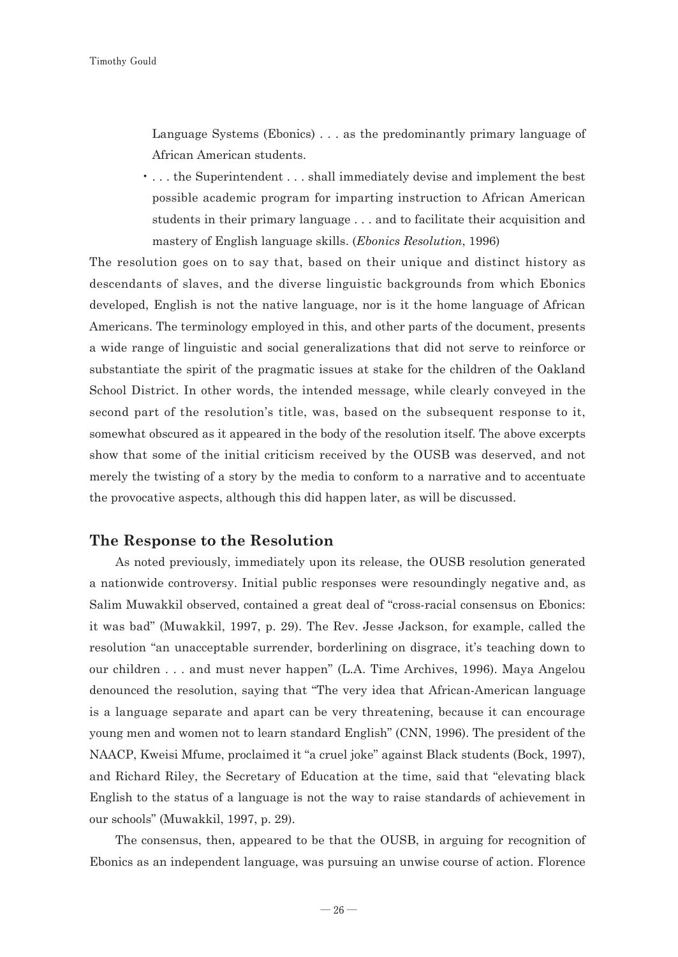Language Systems (Ebonics) . . . as the predominantly primary language of African American students.

• . . . the Superintendent . . . shall immediately devise and implement the best possible academic program for imparting instruction to African American students in their primary language . . . and to facilitate their acquisition and mastery of English language skills. (*Ebonics Resolution*, 1996)

The resolution goes on to say that, based on their unique and distinct history as descendants of slaves, and the diverse linguistic backgrounds from which Ebonics developed, English is not the native language, nor is it the home language of African Americans. The terminology employed in this, and other parts of the document, presents a wide range of linguistic and social generalizations that did not serve to reinforce or substantiate the spirit of the pragmatic issues at stake for the children of the Oakland School District. In other words, the intended message, while clearly conveyed in the second part of the resolution's title, was, based on the subsequent response to it, somewhat obscured as it appeared in the body of the resolution itself. The above excerpts show that some of the initial criticism received by the OUSB was deserved, and not merely the twisting of a story by the media to conform to a narrative and to accentuate the provocative aspects, although this did happen later, as will be discussed.

#### **The Response to the Resolution**

As noted previously, immediately upon its release, the OUSB resolution generated a nationwide controversy. Initial public responses were resoundingly negative and, as Salim Muwakkil observed, contained a great deal of "cross-racial consensus on Ebonics: it was bad" (Muwakkil, 1997, p. 29). The Rev. Jesse Jackson, for example, called the resolution "an unacceptable surrender, borderlining on disgrace, it's teaching down to our children . . . and must never happen" (L.A. Time Archives, 1996). Maya Angelou denounced the resolution, saying that "The very idea that African-American language is a language separate and apart can be very threatening, because it can encourage young men and women not to learn standard English" (CNN, 1996). The president of the NAACP, Kweisi Mfume, proclaimed it "a cruel joke" against Black students (Bock, 1997), and Richard Riley, the Secretary of Education at the time, said that "elevating black English to the status of a language is not the way to raise standards of achievement in our schools" (Muwakkil, 1997, p. 29).

The consensus, then, appeared to be that the OUSB, in arguing for recognition of Ebonics as an independent language, was pursuing an unwise course of action. Florence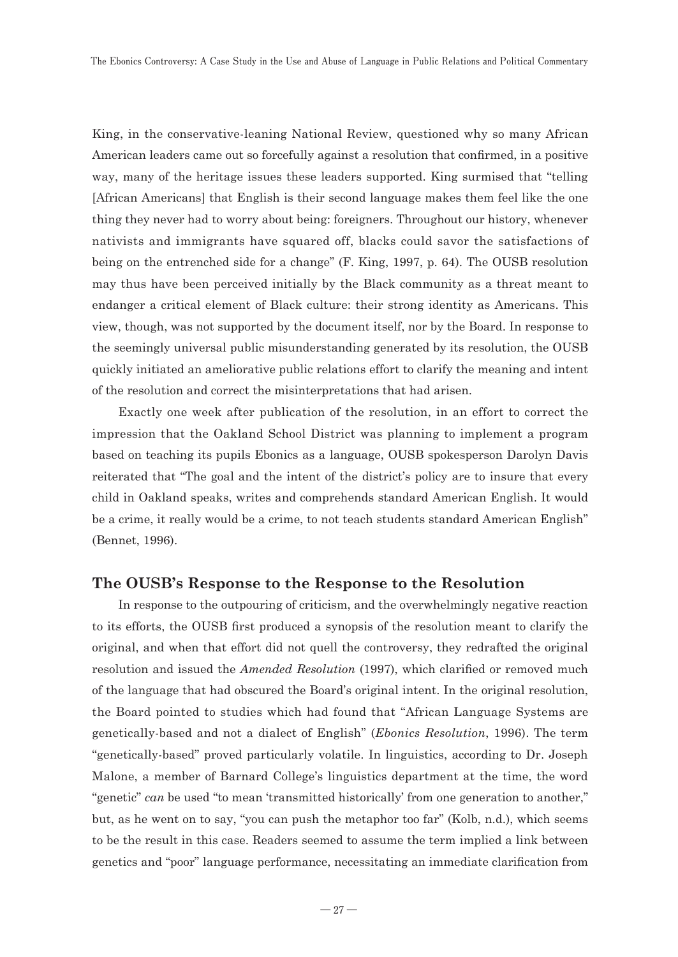King, in the conservative-leaning National Review, questioned why so many African American leaders came out so forcefully against a resolution that confirmed, in a positive way, many of the heritage issues these leaders supported. King surmised that "telling [African Americans] that English is their second language makes them feel like the one thing they never had to worry about being: foreigners. Throughout our history, whenever nativists and immigrants have squared off, blacks could savor the satisfactions of being on the entrenched side for a change" (F. King, 1997, p. 64). The OUSB resolution may thus have been perceived initially by the Black community as a threat meant to endanger a critical element of Black culture: their strong identity as Americans. This view, though, was not supported by the document itself, nor by the Board. In response to the seemingly universal public misunderstanding generated by its resolution, the OUSB quickly initiated an ameliorative public relations effort to clarify the meaning and intent of the resolution and correct the misinterpretations that had arisen.

Exactly one week after publication of the resolution, in an effort to correct the impression that the Oakland School District was planning to implement a program based on teaching its pupils Ebonics as a language, OUSB spokesperson Darolyn Davis reiterated that "The goal and the intent of the district's policy are to insure that every child in Oakland speaks, writes and comprehends standard American English. It would be a crime, it really would be a crime, to not teach students standard American English" (Bennet, 1996).

#### **The OUSB's Response to the Response to the Resolution**

In response to the outpouring of criticism, and the overwhelmingly negative reaction to its efforts, the OUSB first produced a synopsis of the resolution meant to clarify the original, and when that effort did not quell the controversy, they redrafted the original resolution and issued the *Amended Resolution* (1997), which clarified or removed much of the language that had obscured the Board's original intent. In the original resolution, the Board pointed to studies which had found that "African Language Systems are genetically-based and not a dialect of English" (*Ebonics Resolution*, 1996). The term "genetically-based" proved particularly volatile. In linguistics, according to Dr. Joseph Malone, a member of Barnard College's linguistics department at the time, the word "genetic" *can* be used "to mean 'transmitted historically' from one generation to another," but, as he went on to say, "you can push the metaphor too far" (Kolb, n.d.), which seems to be the result in this case. Readers seemed to assume the term implied a link between genetics and "poor" language performance, necessitating an immediate clarification from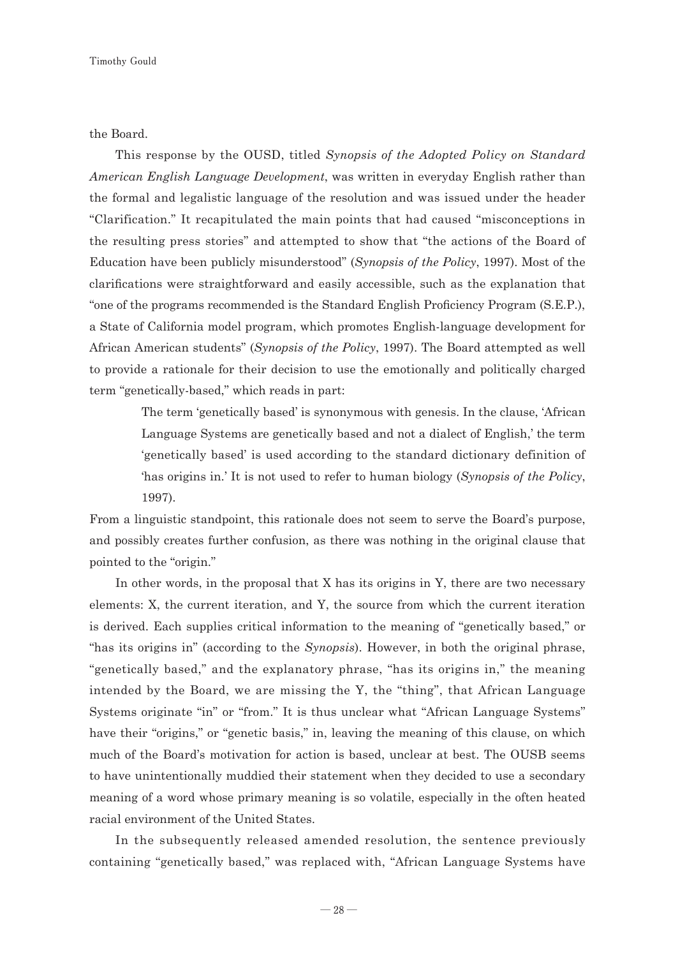the Board.

This response by the OUSD, titled *Synopsis of the Adopted Policy on Standard American English Language Development*, was written in everyday English rather than the formal and legalistic language of the resolution and was issued under the header "Clarification." It recapitulated the main points that had caused "misconceptions in the resulting press stories" and attempted to show that "the actions of the Board of Education have been publicly misunderstood" (*Synopsis of the Policy*, 1997). Most of the clarifications were straightforward and easily accessible, such as the explanation that "one of the programs recommended is the Standard English Proficiency Program (S.E.P.), a State of California model program, which promotes English-language development for African American students" (*Synopsis of the Policy*, 1997). The Board attempted as well to provide a rationale for their decision to use the emotionally and politically charged term "genetically-based," which reads in part:

> The term 'genetically based' is synonymous with genesis. In the clause, 'African Language Systems are genetically based and not a dialect of English,' the term 'genetically based' is used according to the standard dictionary definition of 'has origins in.' It is not used to refer to human biology (*Synopsis of the Policy*, 1997).

From a linguistic standpoint, this rationale does not seem to serve the Board's purpose, and possibly creates further confusion, as there was nothing in the original clause that pointed to the "origin."

In other words, in the proposal that X has its origins in Y, there are two necessary elements: X, the current iteration, and Y, the source from which the current iteration is derived. Each supplies critical information to the meaning of "genetically based," or "has its origins in" (according to the *Synopsis*). However, in both the original phrase, "genetically based," and the explanatory phrase, "has its origins in," the meaning intended by the Board, we are missing the Y, the "thing", that African Language Systems originate "in" or "from." It is thus unclear what "African Language Systems" have their "origins," or "genetic basis," in, leaving the meaning of this clause, on which much of the Board's motivation for action is based, unclear at best. The OUSB seems to have unintentionally muddied their statement when they decided to use a secondary meaning of a word whose primary meaning is so volatile, especially in the often heated racial environment of the United States.

In the subsequently released amended resolution, the sentence previously containing "genetically based," was replaced with, "African Language Systems have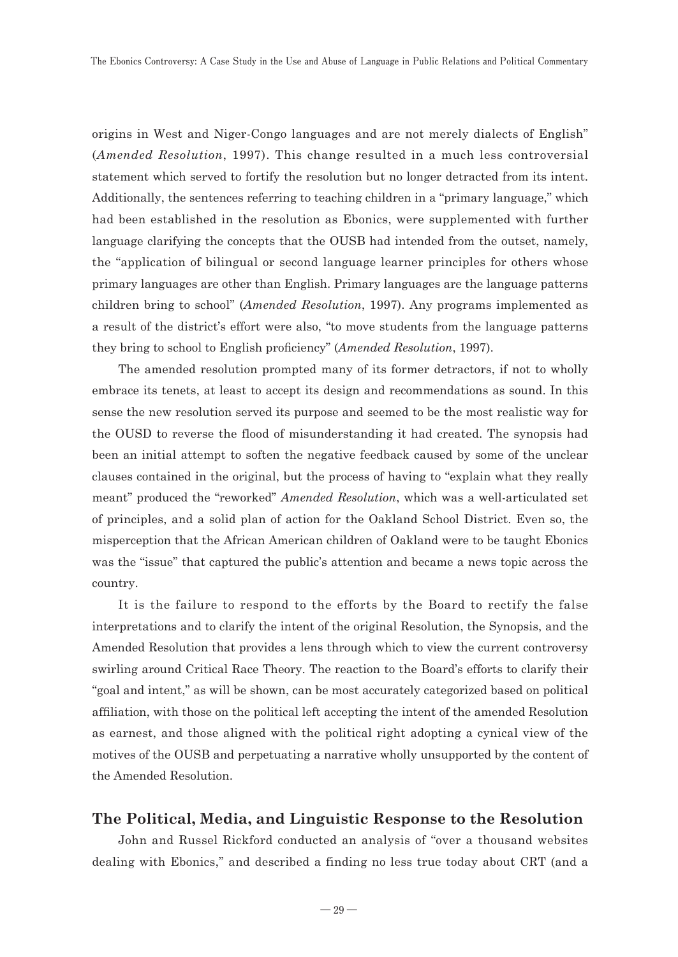origins in West and Niger-Congo languages and are not merely dialects of English" (*Amended Resolution*, 1997). This change resulted in a much less controversial statement which served to fortify the resolution but no longer detracted from its intent. Additionally, the sentences referring to teaching children in a "primary language," which had been established in the resolution as Ebonics, were supplemented with further language clarifying the concepts that the OUSB had intended from the outset, namely, the "application of bilingual or second language learner principles for others whose primary languages are other than English. Primary languages are the language patterns children bring to school" (*Amended Resolution*, 1997). Any programs implemented as a result of the district's effort were also, "to move students from the language patterns they bring to school to English proficiency" (*Amended Resolution*, 1997).

The amended resolution prompted many of its former detractors, if not to wholly embrace its tenets, at least to accept its design and recommendations as sound. In this sense the new resolution served its purpose and seemed to be the most realistic way for the OUSD to reverse the flood of misunderstanding it had created. The synopsis had been an initial attempt to soften the negative feedback caused by some of the unclear clauses contained in the original, but the process of having to "explain what they really meant" produced the "reworked" *Amended Resolution*, which was a well-articulated set of principles, and a solid plan of action for the Oakland School District. Even so, the misperception that the African American children of Oakland were to be taught Ebonics was the "issue" that captured the public's attention and became a news topic across the country.

It is the failure to respond to the efforts by the Board to rectify the false interpretations and to clarify the intent of the original Resolution, the Synopsis, and the Amended Resolution that provides a lens through which to view the current controversy swirling around Critical Race Theory. The reaction to the Board's efforts to clarify their "goal and intent," as will be shown, can be most accurately categorized based on political affiliation, with those on the political left accepting the intent of the amended Resolution as earnest, and those aligned with the political right adopting a cynical view of the motives of the OUSB and perpetuating a narrative wholly unsupported by the content of the Amended Resolution.

#### **The Political, Media, and Linguistic Response to the Resolution**

John and Russel Rickford conducted an analysis of "over a thousand websites dealing with Ebonics," and described a finding no less true today about CRT (and a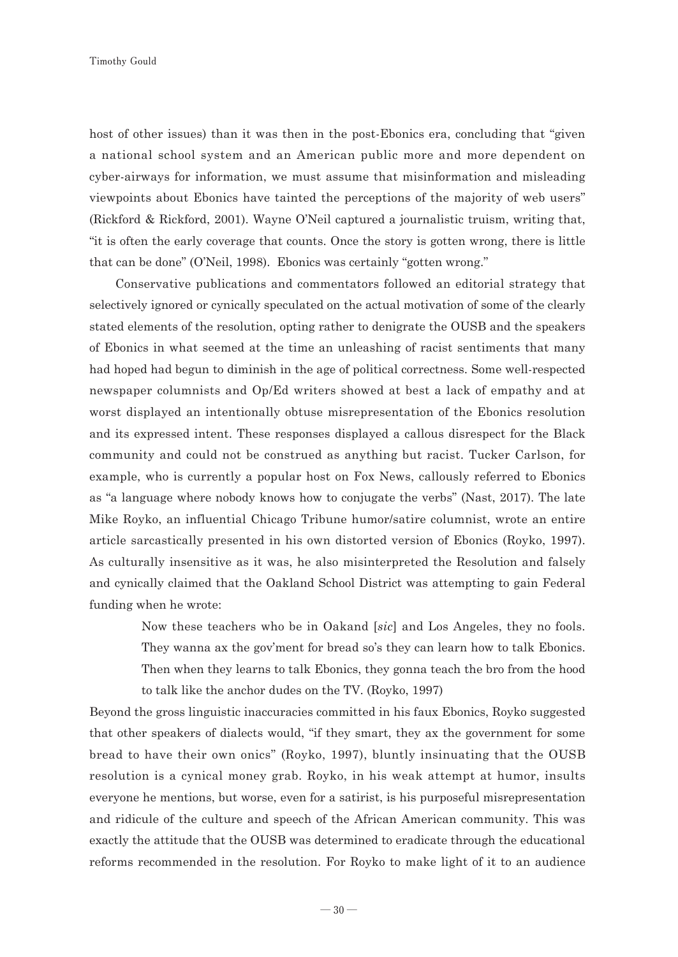**Timothy Gould**

host of other issues) than it was then in the post-Ebonics era, concluding that "given a national school system and an American public more and more dependent on cyber-airways for information, we must assume that misinformation and misleading viewpoints about Ebonics have tainted the perceptions of the majority of web users" (Rickford & Rickford, 2001). Wayne O'Neil captured a journalistic truism, writing that, "it is often the early coverage that counts. Once the story is gotten wrong, there is little that can be done" (O'Neil, 1998). Ebonics was certainly "gotten wrong."

Conservative publications and commentators followed an editorial strategy that selectively ignored or cynically speculated on the actual motivation of some of the clearly stated elements of the resolution, opting rather to denigrate the OUSB and the speakers of Ebonics in what seemed at the time an unleashing of racist sentiments that many had hoped had begun to diminish in the age of political correctness. Some well-respected newspaper columnists and Op/Ed writers showed at best a lack of empathy and at worst displayed an intentionally obtuse misrepresentation of the Ebonics resolution and its expressed intent. These responses displayed a callous disrespect for the Black community and could not be construed as anything but racist. Tucker Carlson, for example, who is currently a popular host on Fox News, callously referred to Ebonics as "a language where nobody knows how to conjugate the verbs" (Nast, 2017). The late Mike Royko, an influential Chicago Tribune humor/satire columnist, wrote an entire article sarcastically presented in his own distorted version of Ebonics (Royko, 1997). As culturally insensitive as it was, he also misinterpreted the Resolution and falsely and cynically claimed that the Oakland School District was attempting to gain Federal funding when he wrote:

> Now these teachers who be in Oakand [*sic*] and Los Angeles, they no fools. They wanna ax the gov'ment for bread so's they can learn how to talk Ebonics. Then when they learns to talk Ebonics, they gonna teach the bro from the hood to talk like the anchor dudes on the TV. (Royko, 1997)

Beyond the gross linguistic inaccuracies committed in his faux Ebonics, Royko suggested that other speakers of dialects would, "if they smart, they ax the government for some bread to have their own onics" (Royko, 1997), bluntly insinuating that the OUSB resolution is a cynical money grab. Royko, in his weak attempt at humor, insults everyone he mentions, but worse, even for a satirist, is his purposeful misrepresentation and ridicule of the culture and speech of the African American community. This was exactly the attitude that the OUSB was determined to eradicate through the educational reforms recommended in the resolution. For Royko to make light of it to an audience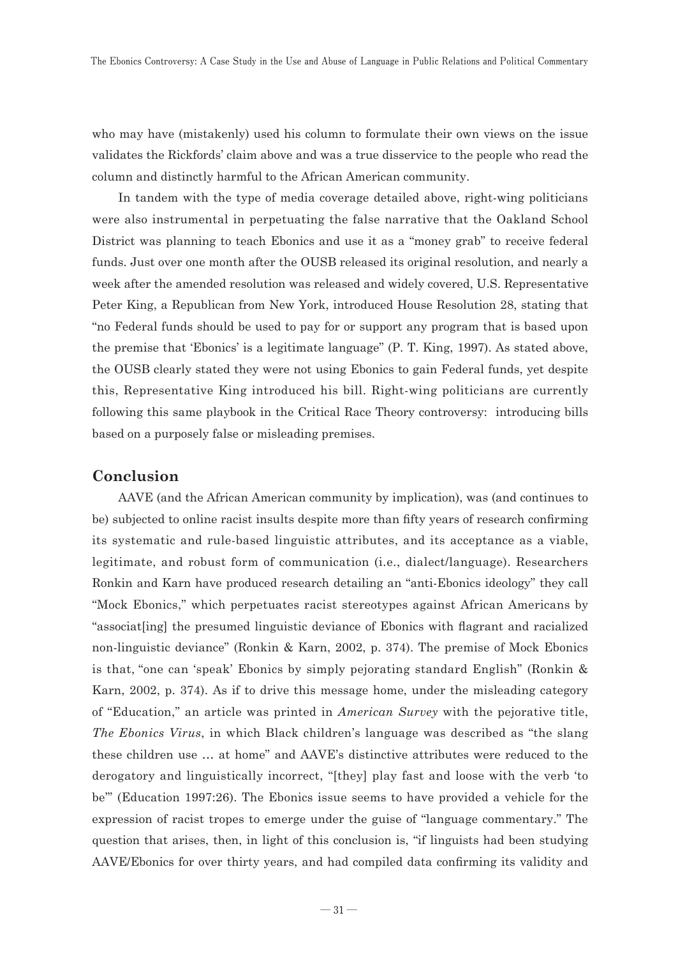who may have (mistakenly) used his column to formulate their own views on the issue validates the Rickfords' claim above and was a true disservice to the people who read the column and distinctly harmful to the African American community.

In tandem with the type of media coverage detailed above, right-wing politicians were also instrumental in perpetuating the false narrative that the Oakland School District was planning to teach Ebonics and use it as a "money grab" to receive federal funds. Just over one month after the OUSB released its original resolution, and nearly a week after the amended resolution was released and widely covered, U.S. Representative Peter King, a Republican from New York, introduced House Resolution 28, stating that "no Federal funds should be used to pay for or support any program that is based upon the premise that 'Ebonics' is a legitimate language" (P. T. King, 1997). As stated above, the OUSB clearly stated they were not using Ebonics to gain Federal funds, yet despite this, Representative King introduced his bill. Right-wing politicians are currently following this same playbook in the Critical Race Theory controversy: introducing bills based on a purposely false or misleading premises.

#### **Conclusion**

AAVE (and the African American community by implication), was (and continues to be) subjected to online racist insults despite more than fifty years of research confirming its systematic and rule-based linguistic attributes, and its acceptance as a viable, legitimate, and robust form of communication (i.e., dialect/language). Researchers Ronkin and Karn have produced research detailing an "anti-Ebonics ideology" they call "Mock Ebonics," which perpetuates racist stereotypes against African Americans by "associat[ing] the presumed linguistic deviance of Ebonics with flagrant and racialized non-linguistic deviance" (Ronkin & Karn, 2002, p. 374). The premise of Mock Ebonics is that, "one can 'speak' Ebonics by simply pejorating standard English" (Ronkin & Karn, 2002, p. 374). As if to drive this message home, under the misleading category of "Education," an article was printed in *American Survey* with the pejorative title, *The Ebonics Virus*, in which Black children's language was described as "the slang these children use … at home" and AAVE's distinctive attributes were reduced to the derogatory and linguistically incorrect, "[they] play fast and loose with the verb 'to be'" (Education 1997:26). The Ebonics issue seems to have provided a vehicle for the expression of racist tropes to emerge under the guise of "language commentary." The question that arises, then, in light of this conclusion is, "if linguists had been studying AAVE/Ebonics for over thirty years, and had compiled data confirming its validity and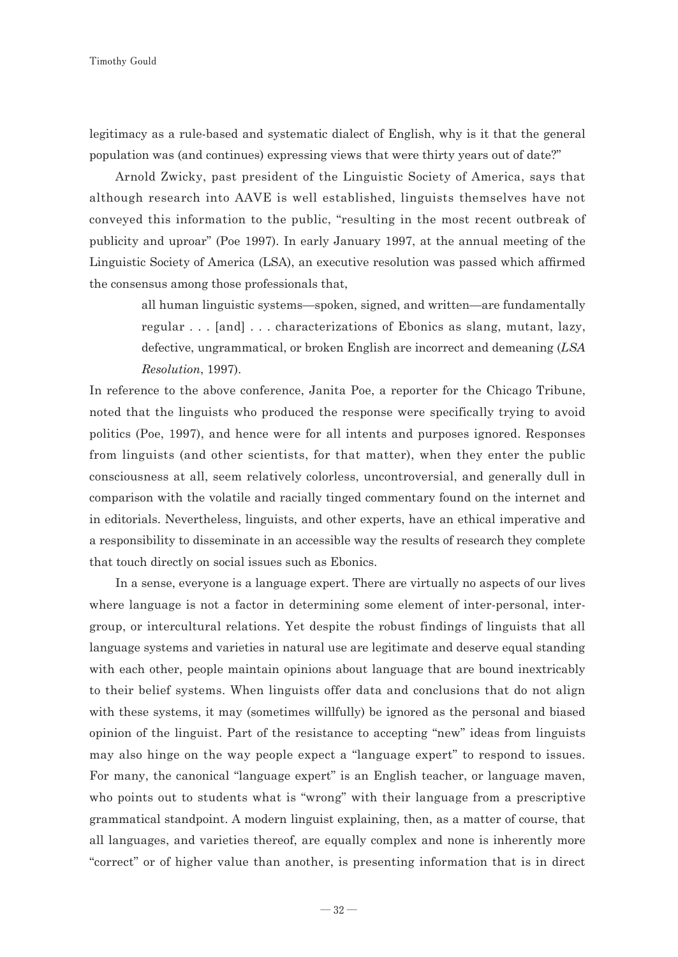**Timothy Gould**

legitimacy as a rule-based and systematic dialect of English, why is it that the general population was (and continues) expressing views that were thirty years out of date?"

Arnold Zwicky, past president of the Linguistic Society of America, says that although research into AAVE is well established, linguists themselves have not conveyed this information to the public, "resulting in the most recent outbreak of publicity and uproar" (Poe 1997). In early January 1997, at the annual meeting of the Linguistic Society of America (LSA), an executive resolution was passed which affirmed the consensus among those professionals that,

> all human linguistic systems—spoken, signed, and written—are fundamentally regular . . . [and] . . . characterizations of Ebonics as slang, mutant, lazy, defective, ungrammatical, or broken English are incorrect and demeaning (*LSA Resolution*, 1997).

In reference to the above conference, Janita Poe, a reporter for the Chicago Tribune, noted that the linguists who produced the response were specifically trying to avoid politics (Poe, 1997), and hence were for all intents and purposes ignored. Responses from linguists (and other scientists, for that matter), when they enter the public consciousness at all, seem relatively colorless, uncontroversial, and generally dull in comparison with the volatile and racially tinged commentary found on the internet and in editorials. Nevertheless, linguists, and other experts, have an ethical imperative and a responsibility to disseminate in an accessible way the results of research they complete that touch directly on social issues such as Ebonics.

In a sense, everyone is a language expert. There are virtually no aspects of our lives where language is not a factor in determining some element of inter-personal, intergroup, or intercultural relations. Yet despite the robust findings of linguists that all language systems and varieties in natural use are legitimate and deserve equal standing with each other, people maintain opinions about language that are bound inextricably to their belief systems. When linguists offer data and conclusions that do not align with these systems, it may (sometimes willfully) be ignored as the personal and biased opinion of the linguist. Part of the resistance to accepting "new" ideas from linguists may also hinge on the way people expect a "language expert" to respond to issues. For many, the canonical "language expert" is an English teacher, or language maven, who points out to students what is "wrong" with their language from a prescriptive grammatical standpoint. A modern linguist explaining, then, as a matter of course, that all languages, and varieties thereof, are equally complex and none is inherently more "correct" or of higher value than another, is presenting information that is in direct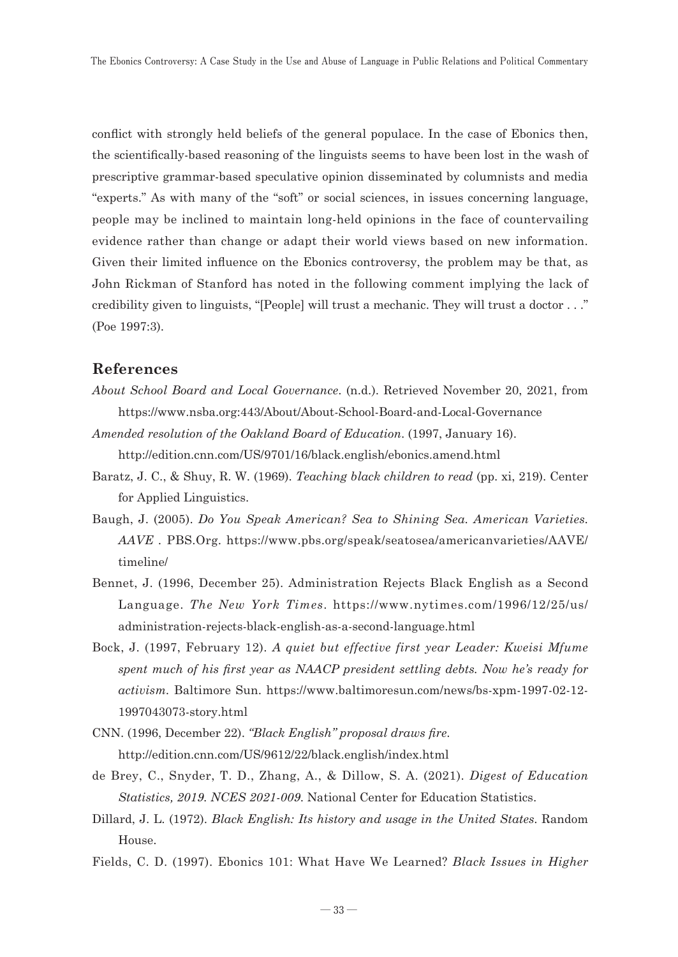conflict with strongly held beliefs of the general populace. In the case of Ebonics then, the scientifically-based reasoning of the linguists seems to have been lost in the wash of prescriptive grammar-based speculative opinion disseminated by columnists and media "experts." As with many of the "soft" or social sciences, in issues concerning language, people may be inclined to maintain long-held opinions in the face of countervailing evidence rather than change or adapt their world views based on new information. Given their limited influence on the Ebonics controversy, the problem may be that, as John Rickman of Stanford has noted in the following comment implying the lack of credibility given to linguists, "[People] will trust a mechanic. They will trust a doctor . . ." (Poe 1997:3).

## **References**

- *About School Board and Local Governance*. (n.d.). Retrieved November 20, 2021, from https://www.nsba.org:443/About/About-School-Board-and-Local-Governance
- *Amended resolution of the Oakland Board of Education*. (1997, January 16). http://edition.cnn.com/US/9701/16/black.english/ebonics.amend.html
- Baratz, J. C., & Shuy, R. W. (1969). *Teaching black children to read* (pp. xi, 219). Center for Applied Linguistics.
- Baugh, J. (2005). *Do You Speak American? Sea to Shining Sea. American Varieties. AAVE .* PBS.Org. https://www.pbs.org/speak/seatosea/americanvarieties/AAVE/ timeline/
- Bennet, J. (1996, December 25). Administration Rejects Black English as a Second Language. *The New York Times*. https://www.nytimes.com/1996/12/25/us/ administration-rejects-black-english-as-a-second-language.html
- Bock, J. (1997, February 12). *A quiet but effective first year Leader: Kweisi Mfume spent much of his first year as NAACP president settling debts. Now he's ready for activism.* Baltimore Sun. https://www.baltimoresun.com/news/bs-xpm-1997-02-12- 1997043073-story.html
- CNN. (1996, December 22). *"Black English" proposal draws fire*. http://edition.cnn.com/US/9612/22/black.english/index.html
- de Brey, C., Snyder, T. D., Zhang, A., & Dillow, S. A. (2021). *Digest of Education Statistics, 2019. NCES 2021-009*. National Center for Education Statistics.
- Dillard, J. L. (1972). *Black English: Its history and usage in the United States*. Random House.
- Fields, C. D. (1997). Ebonics 101: What Have We Learned? *Black Issues in Higher*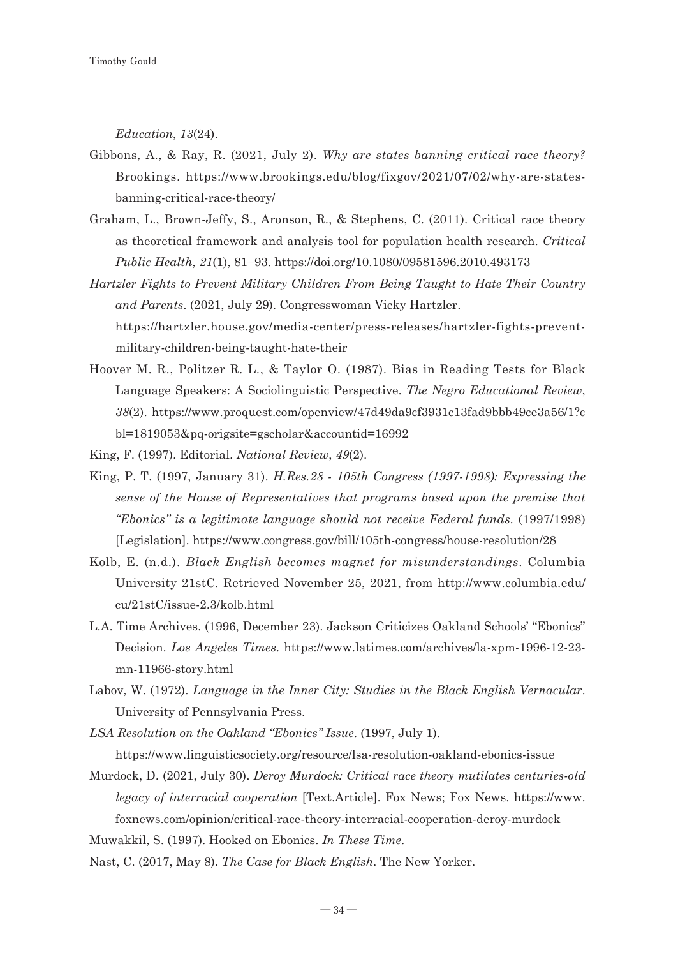*Education*, *13*(24).

- Gibbons, A., & Ray, R. (2021, July 2). *Why are states banning critical race theory?* Brookings. https://www.brookings.edu/blog/fixgov/2021/07/02/why-are-statesbanning-critical-race-theory/
- Graham, L., Brown-Jeffy, S., Aronson, R., & Stephens, C. (2011). Critical race theory as theoretical framework and analysis tool for population health research. *Critical Public Health*, *21*(1), 81–93. https://doi.org/10.1080/09581596.2010.493173
- *Hartzler Fights to Prevent Military Children From Being Taught to Hate Their Country and Parents*. (2021, July 29). Congresswoman Vicky Hartzler. https://hartzler.house.gov/media-center/press-releases/hartzler-fights-preventmilitary-children-being-taught-hate-their
- Hoover M. R., Politzer R. L., & Taylor O. (1987). Bias in Reading Tests for Black Language Speakers: A Sociolinguistic Perspective. *The Negro Educational Review*, *38*(2). https://www.proquest.com/openview/47d49da9cf3931c13fad9bbb49ce3a56/1?c bl=1819053&pq-origsite=gscholar&accountid=16992
- King, F. (1997). Editorial. *National Review*, *49*(2).
- King, P. T. (1997, January 31). *H.Res.28 105th Congress (1997-1998): Expressing the sense of the House of Representatives that programs based upon the premise that "Ebonics" is a legitimate language should not receive Federal funds.* (1997/1998) [Legislation]. https://www.congress.gov/bill/105th-congress/house-resolution/28
- Kolb, E. (n.d.). *Black English becomes magnet for misunderstandings*. Columbia University 21stC. Retrieved November 25, 2021, from http://www.columbia.edu/ cu/21stC/issue-2.3/kolb.html
- L.A. Time Archives. (1996, December 23). Jackson Criticizes Oakland Schools' "Ebonics" Decision. *Los Angeles Times*. https://www.latimes.com/archives/la-xpm-1996-12-23 mn-11966-story.html
- Labov, W. (1972). *Language in the Inner City: Studies in the Black English Vernacular*. University of Pennsylvania Press.
- *LSA Resolution on the Oakland "Ebonics" Issue*. (1997, July 1).

https://www.linguisticsociety.org/resource/lsa-resolution-oakland-ebonics-issue

Murdock, D. (2021, July 30). *Deroy Murdock: Critical race theory mutilates centuries-old legacy of interracial cooperation* [Text.Article]. Fox News; Fox News. https://www. foxnews.com/opinion/critical-race-theory-interracial-cooperation-deroy-murdock

Muwakkil, S. (1997). Hooked on Ebonics. *In These Time*.

Nast, C. (2017, May 8). *The Case for Black English*. The New Yorker.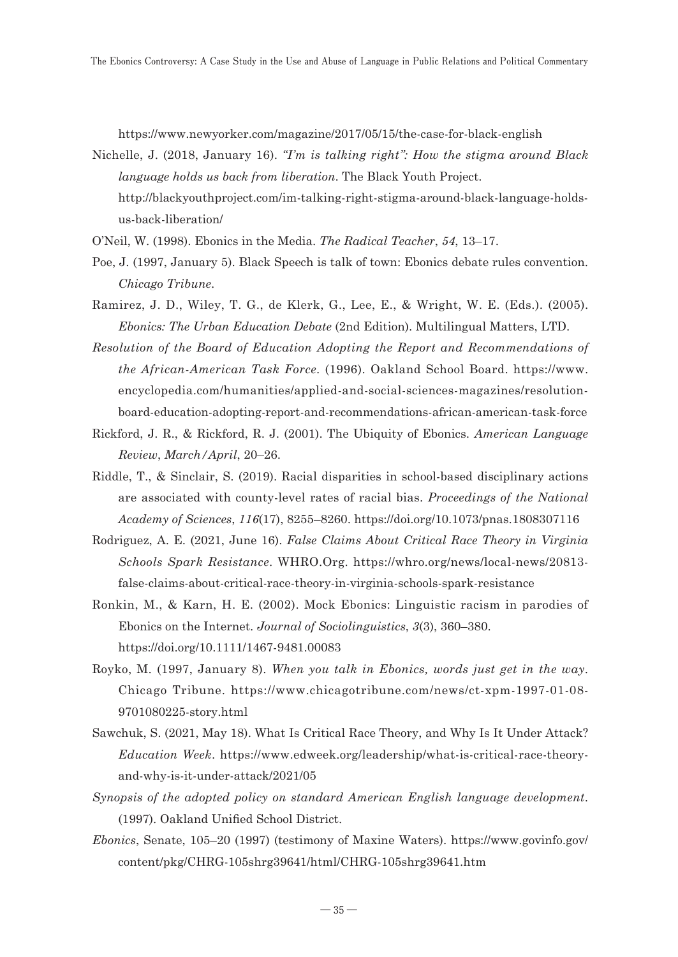https://www.newyorker.com/magazine/2017/05/15/the-case-for-black-english

- Nichelle, J. (2018, January 16). *"I'm is talking right": How the stigma around Black language holds us back from liberation*. The Black Youth Project. http://blackyouthproject.com/im-talking-right-stigma-around-black-language-holdsus-back-liberation/
- O'Neil, W. (1998). Ebonics in the Media. *The Radical Teacher*, *54*, 13–17.
- Poe, J. (1997, January 5). Black Speech is talk of town: Ebonics debate rules convention. *Chicago Tribune*.
- Ramirez, J. D., Wiley, T. G., de Klerk, G., Lee, E., & Wright, W. E. (Eds.). (2005). *Ebonics: The Urban Education Debate* (2nd Edition). Multilingual Matters, LTD.
- *Resolution of the Board of Education Adopting the Report and Recommendations of the African-American Task Force*. (1996). Oakland School Board. https://www. encyclopedia.com/humanities/applied-and-social-sciences-magazines/resolutionboard-education-adopting-report-and-recommendations-african-american-task-force
- Rickford, J. R., & Rickford, R. J. (2001). The Ubiquity of Ebonics. *American Language Review*, *March/April*, 20–26.
- Riddle, T., & Sinclair, S. (2019). Racial disparities in school-based disciplinary actions are associated with county-level rates of racial bias. *Proceedings of the National Academy of Sciences*, *116*(17), 8255–8260. https://doi.org/10.1073/pnas.1808307116
- Rodriguez, A. E. (2021, June 16). *False Claims About Critical Race Theory in Virginia Schools Spark Resistance*. WHRO.Org. https://whro.org/news/local-news/20813 false-claims-about-critical-race-theory-in-virginia-schools-spark-resistance
- Ronkin, M., & Karn, H. E. (2002). Mock Ebonics: Linguistic racism in parodies of Ebonics on the Internet. *Journal of Sociolinguistics*, *3*(3), 360–380. https://doi.org/10.1111/1467-9481.00083
- Royko, M. (1997, January 8). *When you talk in Ebonics, words just get in the way*. Chicago Tribune. https://www.chicagotribune.com/news/ct-xpm-1997-01-08- 9701080225-story.html
- Sawchuk, S. (2021, May 18). What Is Critical Race Theory, and Why Is It Under Attack? *Education Week*. https://www.edweek.org/leadership/what-is-critical-race-theoryand-why-is-it-under-attack/2021/05
- *Synopsis of the adopted policy on standard American English language development*. (1997). Oakland Unified School District.
- *Ebonics*, Senate, 105–20 (1997) (testimony of Maxine Waters). https://www.govinfo.gov/ content/pkg/CHRG-105shrg39641/html/CHRG-105shrg39641.htm